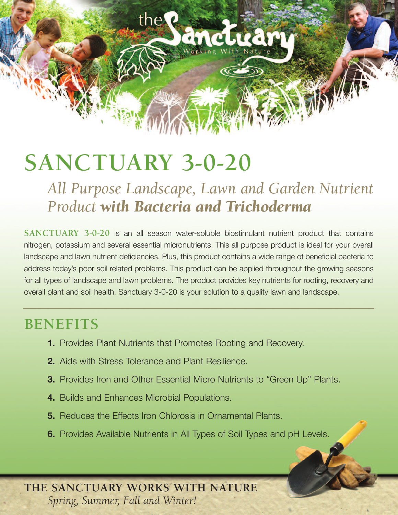# **SANCTUARY 3-0-20**

the?

*All Purpose Landscape, Lawn and Garden Nutrient Product with Bacteria and Trichoderma*

**SANCTUARY 3-0-20** is an all season water-soluble biostimulant nutrient product that contains nitrogen, potassium and several essential micronutrients. This all purpose product is ideal for your overall landscape and lawn nutrient deficiencies. Plus, this product contains a wide range of beneficial bacteria to address today's poor soil related problems. This product can be applied throughout the growing seasons for all types of landscape and lawn problems. The product provides key nutrients for rooting, recovery and overall plant and soil health. Sanctuary 3-0-20 is your solution to a quality lawn and landscape.

# **BENEFITS**

- **1.** Provides Plant Nutrients that Promotes Rooting and Recovery.
- **2.** Aids with Stress Tolerance and Plant Resilience.
- **3.** Provides Iron and Other Essential Micro Nutrients to "Green Up" Plants.
- **4.** Builds and Enhances Microbial Populations.
- **5.** Reduces the Effects Iron Chlorosis in Ornamental Plants.
- **6.** Provides Available Nutrients in All Types of Soil Types and pH Levels.

**THE SANCTUARY WORKS WITH NATURE** *Spring, Summer, Fall and Winter!*